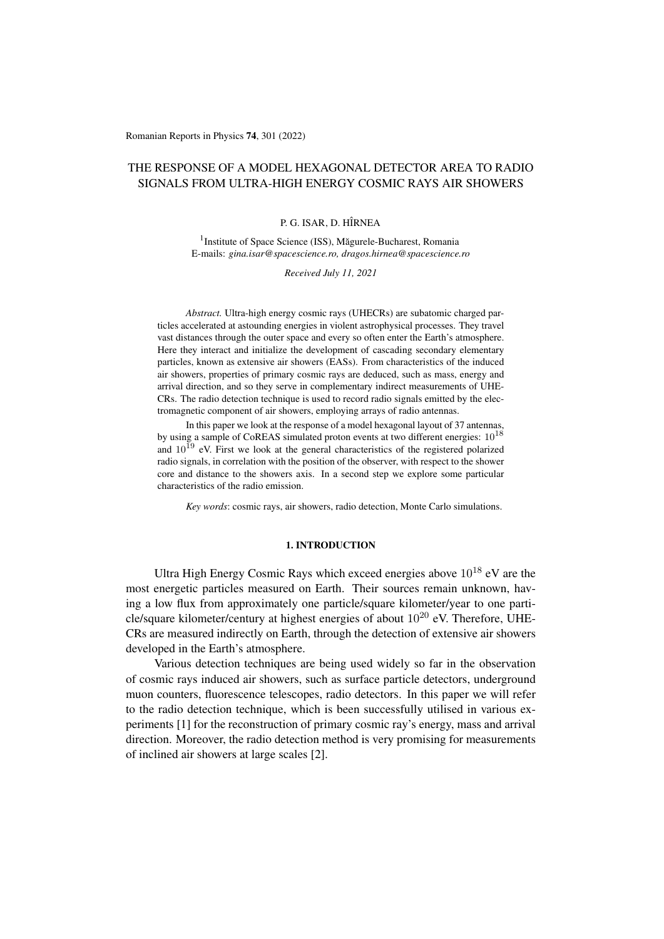Romanian Reports in Physics 74, 301 (2022)

# THE RESPONSE OF A MODEL HEXAGONAL DETECTOR AREA TO RADIO SIGNALS FROM ULTRA-HIGH ENERGY COSMIC RAYS AIR SHOWERS

### P. G. ISAR, D. HÎRNEA

<sup>1</sup> Institute of Space Science (ISS), Măgurele-Bucharest, Romania E-mails: *gina.isar@spacescience.ro, dragos.hirnea@spacescience.ro*

*Received July 11, 2021*

*Abstract.* Ultra-high energy cosmic rays (UHECRs) are subatomic charged particles accelerated at astounding energies in violent astrophysical processes. They travel vast distances through the outer space and every so often enter the Earth's atmosphere. Here they interact and initialize the development of cascading secondary elementary particles, known as extensive air showers (EASs). From characteristics of the induced air showers, properties of primary cosmic rays are deduced, such as mass, energy and arrival direction, and so they serve in complementary indirect measurements of UHE-CRs. The radio detection technique is used to record radio signals emitted by the electromagnetic component of air showers, employing arrays of radio antennas.

In this paper we look at the response of a model hexagonal layout of 37 antennas, by using a sample of CoREAS simulated proton events at two different energies:  $10^{18}$ and  $10^{19}$  eV. First we look at the general characteristics of the registered polarized radio signals, in correlation with the position of the observer, with respect to the shower core and distance to the showers axis. In a second step we explore some particular characteristics of the radio emission.

*Key words*: cosmic rays, air showers, radio detection, Monte Carlo simulations.

# 1. INTRODUCTION

Ultra High Energy Cosmic Rays which exceed energies above  $10^{18}$  eV are the most energetic particles measured on Earth. Their sources remain unknown, having a low flux from approximately one particle/square kilometer/year to one particle/square kilometer/century at highest energies of about  $10^{20}$  eV. Therefore, UHE-CRs are measured indirectly on Earth, through the detection of extensive air showers developed in the Earth's atmosphere.

Various detection techniques are being used widely so far in the observation of cosmic rays induced air showers, such as surface particle detectors, underground muon counters, fluorescence telescopes, radio detectors. In this paper we will refer to the radio detection technique, which is been successfully utilised in various experiments [\[1\]](#page-9-0) for the reconstruction of primary cosmic ray's energy, mass and arrival direction. Moreover, the radio detection method is very promising for measurements of inclined air showers at large scales [\[2\]](#page-9-1).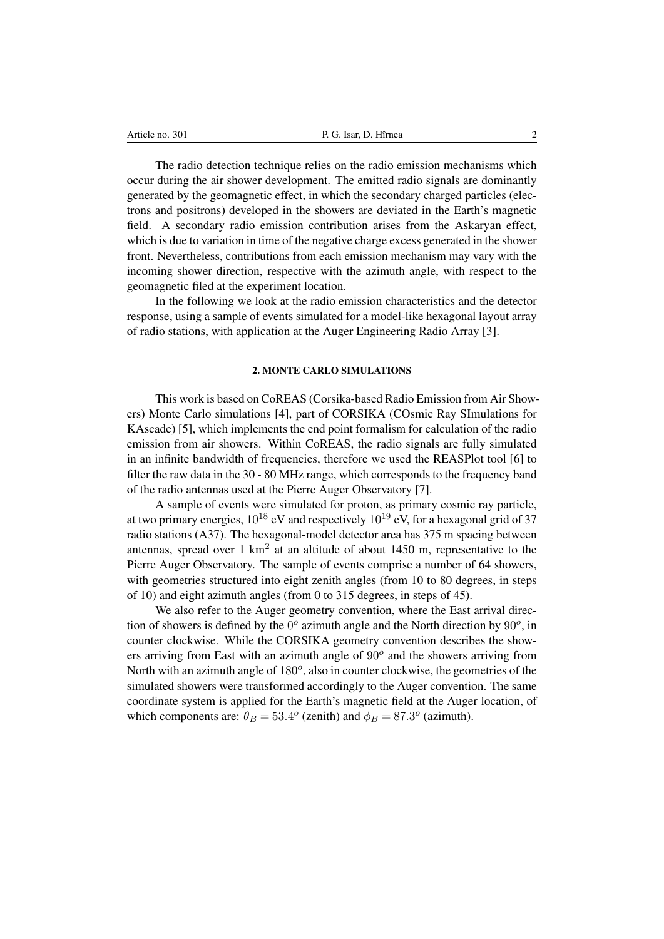The radio detection technique relies on the radio emission mechanisms which occur during the air shower development. The emitted radio signals are dominantly generated by the geomagnetic effect, in which the secondary charged particles (electrons and positrons) developed in the showers are deviated in the Earth's magnetic field. A secondary radio emission contribution arises from the Askaryan effect, which is due to variation in time of the negative charge excess generated in the shower front. Nevertheless, contributions from each emission mechanism may vary with the incoming shower direction, respective with the azimuth angle, with respect to the geomagnetic filed at the experiment location.

In the following we look at the radio emission characteristics and the detector response, using a sample of events simulated for a model-like hexagonal layout array of radio stations, with application at the Auger Engineering Radio Array [\[3\]](#page-9-2).

# 2. MONTE CARLO SIMULATIONS

This work is based on CoREAS (Corsika-based Radio Emission from Air Showers) Monte Carlo simulations [\[4\]](#page-9-3), part of CORSIKA (COsmic Ray SImulations for KAscade) [\[5\]](#page-9-4), which implements the end point formalism for calculation of the radio emission from air showers. Within CoREAS, the radio signals are fully simulated in an infinite bandwidth of frequencies, therefore we used the REASPlot tool [\[6\]](#page-9-5) to filter the raw data in the 30 - 80 MHz range, which corresponds to the frequency band of the radio antennas used at the Pierre Auger Observatory [\[7\]](#page-9-6).

A sample of events were simulated for proton, as primary cosmic ray particle, at two primary energies,  $10^{18}$  eV and respectively  $10^{19}$  eV, for a hexagonal grid of 37 radio stations (A37). The hexagonal-model detector area has 375 m spacing between antennas, spread over 1 km<sup>2</sup> at an altitude of about 1450 m, representative to the Pierre Auger Observatory. The sample of events comprise a number of 64 showers, with geometries structured into eight zenith angles (from 10 to 80 degrees, in steps of 10) and eight azimuth angles (from 0 to 315 degrees, in steps of 45).

We also refer to the Auger geometry convention, where the East arrival direction of showers is defined by the  $0^{\circ}$  azimuth angle and the North direction by  $90^{\circ}$ , in counter clockwise. While the CORSIKA geometry convention describes the showers arriving from East with an azimuth angle of  $90^{\circ}$  and the showers arriving from North with an azimuth angle of  $180^\circ$ , also in counter clockwise, the geometries of the simulated showers were transformed accordingly to the Auger convention. The same coordinate system is applied for the Earth's magnetic field at the Auger location, of which components are:  $\theta_B = 53.4^{\circ}$  (zenith) and  $\phi_B = 87.3^{\circ}$  (azimuth).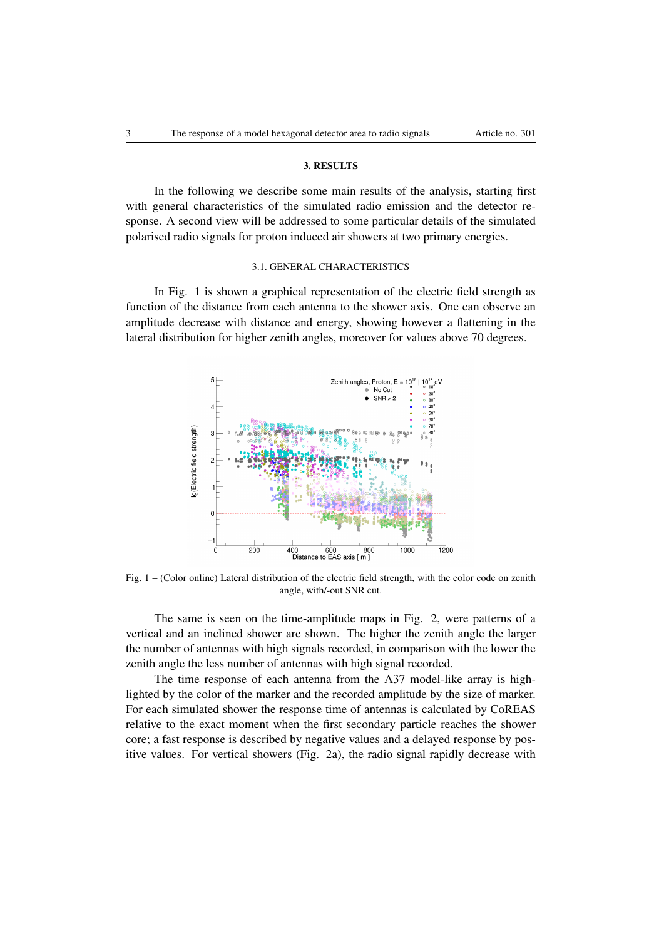## 3. RESULTS

In the following we describe some main results of the analysis, starting first with general characteristics of the simulated radio emission and the detector response. A second view will be addressed to some particular details of the simulated polarised radio signals for proton induced air showers at two primary energies.

# 3.1. GENERAL CHARACTERISTICS

In Fig. [1](#page-2-0) is shown a graphical representation of the electric field strength as function of the distance from each antenna to the shower axis. One can observe an amplitude decrease with distance and energy, showing however a flattening in the lateral distribution for higher zenith angles, moreover for values above 70 degrees.

<span id="page-2-0"></span>

Fig. 1 – (Color online) Lateral distribution of the electric field strength, with the color code on zenith angle, with/-out SNR cut.

The same is seen on the time-amplitude maps in Fig. [2,](#page-3-0) were patterns of a vertical and an inclined shower are shown. The higher the zenith angle the larger the number of antennas with high signals recorded, in comparison with the lower the zenith angle the less number of antennas with high signal recorded.

The time response of each antenna from the A37 model-like array is highlighted by the color of the marker and the recorded amplitude by the size of marker. For each simulated shower the response time of antennas is calculated by CoREAS relative to the exact moment when the first secondary particle reaches the shower core; a fast response is described by negative values and a delayed response by positive values. For vertical showers (Fig. [2a\)](#page-3-1), the radio signal rapidly decrease with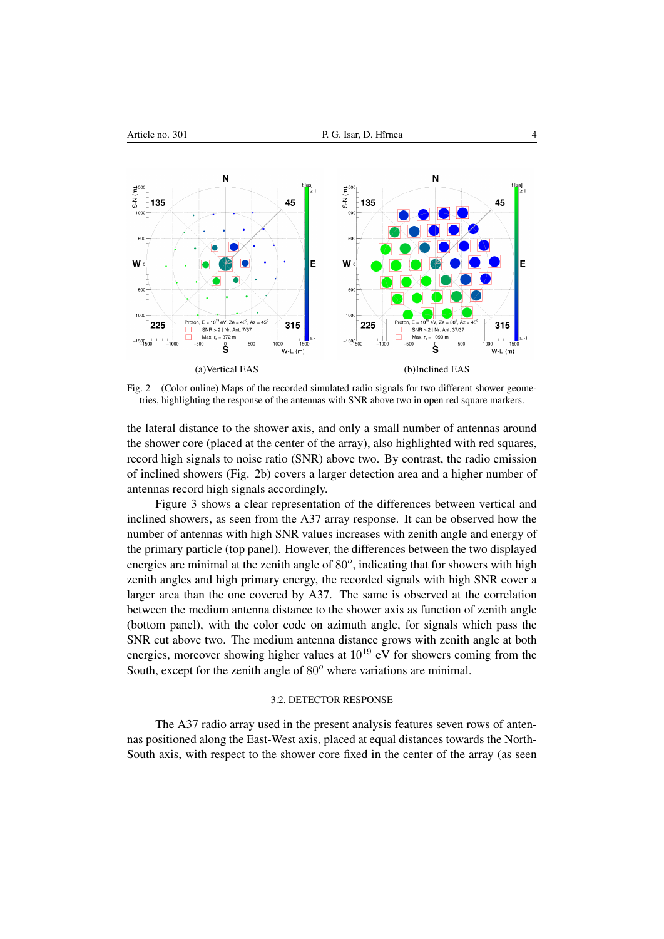<span id="page-3-1"></span><span id="page-3-0"></span>

<span id="page-3-2"></span>Fig. 2 – (Color online) Maps of the recorded simulated radio signals for two different shower geometries, highlighting the response of the antennas with SNR above two in open red square markers.

the lateral distance to the shower axis, and only a small number of antennas around the shower core (placed at the center of the array), also highlighted with red squares, record high signals to noise ratio (SNR) above two. By contrast, the radio emission of inclined showers (Fig. [2b\)](#page-3-2) covers a larger detection area and a higher number of antennas record high signals accordingly.

Figure [3](#page-4-0) shows a clear representation of the differences between vertical and inclined showers, as seen from the A37 array response. It can be observed how the number of antennas with high SNR values increases with zenith angle and energy of the primary particle (top panel). However, the differences between the two displayed energies are minimal at the zenith angle of  $80^\circ$ , indicating that for showers with high zenith angles and high primary energy, the recorded signals with high SNR cover a larger area than the one covered by A37. The same is observed at the correlation between the medium antenna distance to the shower axis as function of zenith angle (bottom panel), with the color code on azimuth angle, for signals which pass the SNR cut above two. The medium antenna distance grows with zenith angle at both energies, moreover showing higher values at  $10^{19}$  eV for showers coming from the South, except for the zenith angle of  $80^\circ$  where variations are minimal.

## 3.2. DETECTOR RESPONSE

The A37 radio array used in the present analysis features seven rows of antennas positioned along the East-West axis, placed at equal distances towards the North-South axis, with respect to the shower core fixed in the center of the array (as seen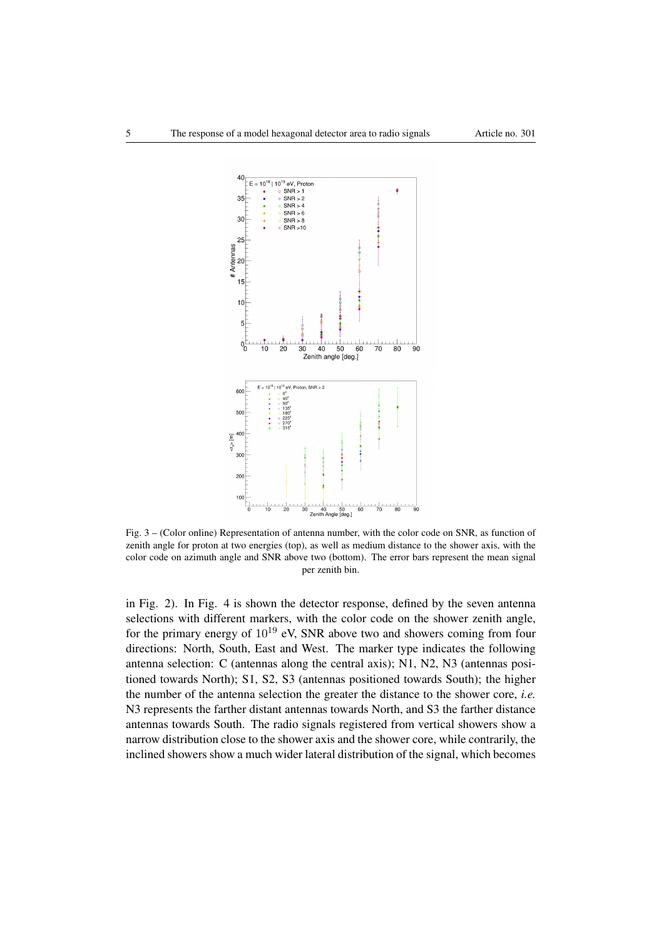<span id="page-4-0"></span>

Fig. 3 – (Color online) Representation of antenna number, with the color code on SNR, as function of zenith angle for proton at two energies (top), as well as medium distance to the shower axis, with the color code on azimuth angle and SNR above two (bottom). The error bars represent the mean signal per zenith bin.

in Fig. [2\)](#page-3-0). In Fig. [4](#page-5-0) is shown the detector response, defined by the seven antenna selections with different markers, with the color code on the shower zenith angle, for the primary energy of  $10^{19}$  eV, SNR above two and showers coming from four directions: North, South, East and West. The marker type indicates the following antenna selection: C (antennas along the central axis); N1, N2, N3 (antennas positioned towards North); S1, S2, S3 (antennas positioned towards South); the higher the number of the antenna selection the greater the distance to the shower core, *i.e.* N3 represents the farther distant antennas towards North, and S3 the farther distance antennas towards South. The radio signals registered from vertical showers show a narrow distribution close to the shower axis and the shower core, while contrarily, the inclined showers show a much wider lateral distribution of the signal, which becomes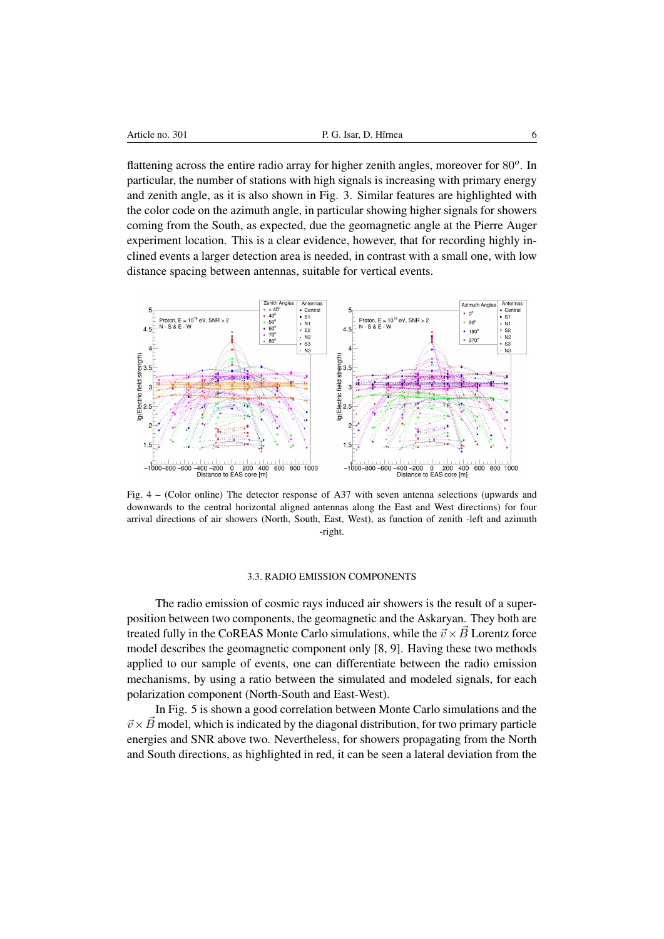flattening across the entire radio array for higher zenith angles, moreover for 80°. In particular, the number of stations with high signals is increasing with primary energy and zenith angle, as it is also shown in Fig. [3.](#page-4-0) Similar features are highlighted with the color code on the azimuth angle, in particular showing higher signals for showers coming from the South, as expected, due the geomagnetic angle at the Pierre Auger experiment location. This is a clear evidence, however, that for recording highly inclined events a larger detection area is needed, in contrast with a small one, with low distance spacing between antennas, suitable for vertical events.

<span id="page-5-0"></span>

Fig. 4 – (Color online) The detector response of A37 with seven antenna selections (upwards and downwards to the central horizontal aligned antennas along the East and West directions) for four arrival directions of air showers (North, South, East, West), as function of zenith -left and azimuth -right.

### 3.3. RADIO EMISSION COMPONENTS

The radio emission of cosmic rays induced air showers is the result of a superposition between two components, the geomagnetic and the Askaryan. They both are treated fully in the CoREAS Monte Carlo simulations, while the  $\vec{v} \times \vec{B}$  Lorentz force model describes the geomagnetic component only [\[8,](#page-9-7) [9\]](#page-9-8). Having these two methods applied to our sample of events, one can differentiate between the radio emission mechanisms, by using a ratio between the simulated and modeled signals, for each polarization component (North-South and East-West).

In Fig. [5](#page-6-0) is shown a good correlation between Monte Carlo simulations and the  $\vec{v} \times \vec{B}$  model, which is indicated by the diagonal distribution, for two primary particle energies and SNR above two. Nevertheless, for showers propagating from the North and South directions, as highlighted in red, it can be seen a lateral deviation from the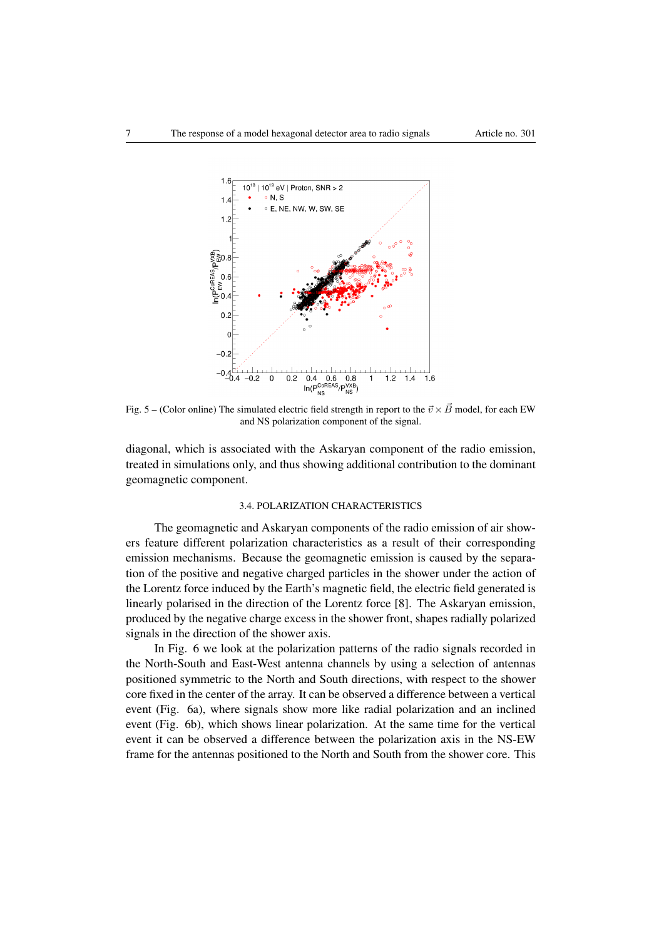<span id="page-6-0"></span>

Fig. 5 – (Color online) The simulated electric field strength in report to the  $\vec{v} \times \vec{B}$  model, for each EW and NS polarization component of the signal.

diagonal, which is associated with the Askaryan component of the radio emission, treated in simulations only, and thus showing additional contribution to the dominant geomagnetic component.

# 3.4. POLARIZATION CHARACTERISTICS

The geomagnetic and Askaryan components of the radio emission of air showers feature different polarization characteristics as a result of their corresponding emission mechanisms. Because the geomagnetic emission is caused by the separation of the positive and negative charged particles in the shower under the action of the Lorentz force induced by the Earth's magnetic field, the electric field generated is linearly polarised in the direction of the Lorentz force [\[8\]](#page-9-7). The Askaryan emission, produced by the negative charge excess in the shower front, shapes radially polarized signals in the direction of the shower axis.

In Fig. [6](#page-7-0) we look at the polarization patterns of the radio signals recorded in the North-South and East-West antenna channels by using a selection of antennas positioned symmetric to the North and South directions, with respect to the shower core fixed in the center of the array. It can be observed a difference between a vertical event (Fig. [6a\)](#page-7-1), where signals show more like radial polarization and an inclined event (Fig. [6b\)](#page-7-2), which shows linear polarization. At the same time for the vertical event it can be observed a difference between the polarization axis in the NS-EW frame for the antennas positioned to the North and South from the shower core. This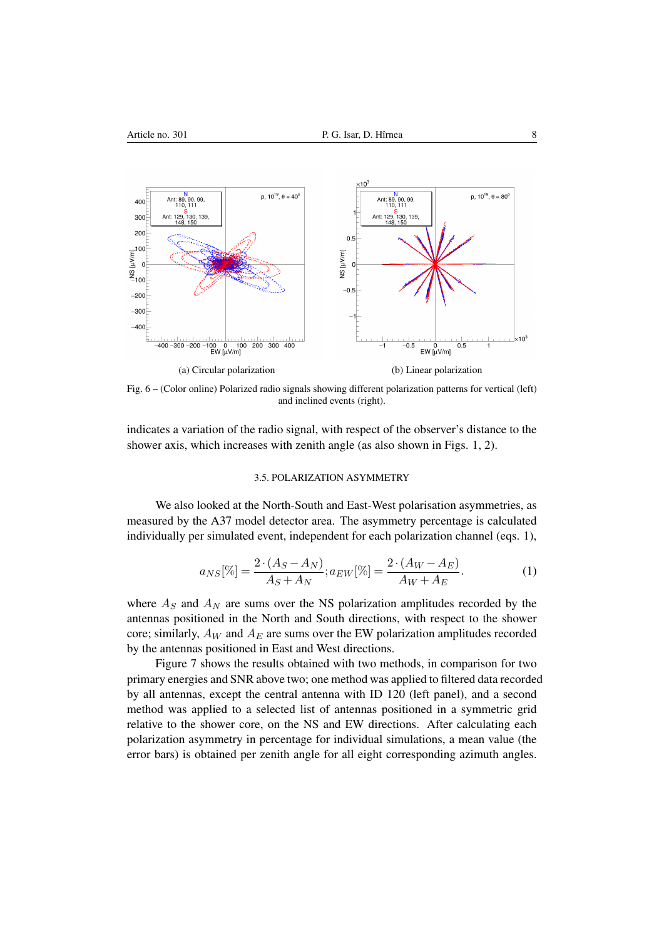<span id="page-7-1"></span><span id="page-7-0"></span>

Fig. 6 – (Color online) Polarized radio signals showing different polarization patterns for vertical (left) and inclined events (right).

indicates a variation of the radio signal, with respect of the observer's distance to the shower axis, which increases with zenith angle (as also shown in Figs. [1,](#page-2-0) [2\)](#page-3-0).

### <span id="page-7-2"></span>3.5. POLARIZATION ASYMMETRY

We also looked at the North-South and East-West polarisation asymmetries, as measured by the A37 model detector area. The asymmetry percentage is calculated individually per simulated event, independent for each polarization channel (eqs. 1),

$$
a_{NS}[\%] = \frac{2 \cdot (A_S - A_N)}{A_S + A_N}; a_{EW}[\%] = \frac{2 \cdot (A_W - A_E)}{A_W + A_E}.
$$
 (1)

where  $A<sub>S</sub>$  and  $A<sub>N</sub>$  are sums over the NS polarization amplitudes recorded by the antennas positioned in the North and South directions, with respect to the shower core; similarly,  $A_W$  and  $A_E$  are sums over the EW polarization amplitudes recorded by the antennas positioned in East and West directions.

Figure [7](#page-8-0) shows the results obtained with two methods, in comparison for two primary energies and SNR above two; one method was applied to filtered data recorded by all antennas, except the central antenna with ID 120 (left panel), and a second method was applied to a selected list of antennas positioned in a symmetric grid relative to the shower core, on the NS and EW directions. After calculating each polarization asymmetry in percentage for individual simulations, a mean value (the error bars) is obtained per zenith angle for all eight corresponding azimuth angles.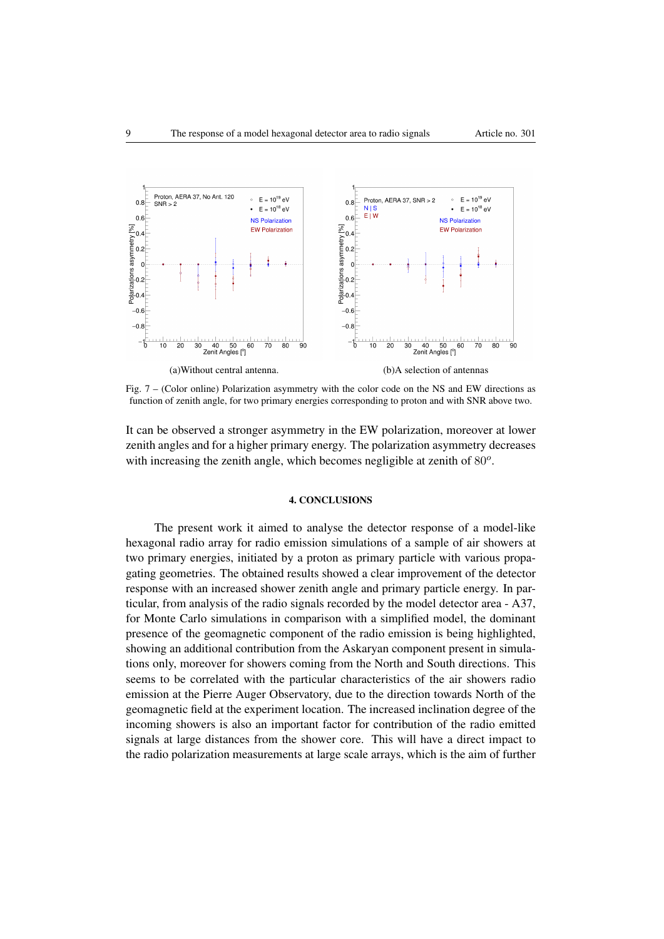<span id="page-8-0"></span>

Fig. 7 – (Color online) Polarization asymmetry with the color code on the NS and EW directions as function of zenith angle, for two primary energies corresponding to proton and with SNR above two.

It can be observed a stronger asymmetry in the EW polarization, moreover at lower zenith angles and for a higher primary energy. The polarization asymmetry decreases with increasing the zenith angle, which becomes negligible at zenith of  $80^\circ$ .

### 4. CONCLUSIONS

The present work it aimed to analyse the detector response of a model-like hexagonal radio array for radio emission simulations of a sample of air showers at two primary energies, initiated by a proton as primary particle with various propagating geometries. The obtained results showed a clear improvement of the detector response with an increased shower zenith angle and primary particle energy. In particular, from analysis of the radio signals recorded by the model detector area - A37, for Monte Carlo simulations in comparison with a simplified model, the dominant presence of the geomagnetic component of the radio emission is being highlighted, showing an additional contribution from the Askaryan component present in simulations only, moreover for showers coming from the North and South directions. This seems to be correlated with the particular characteristics of the air showers radio emission at the Pierre Auger Observatory, due to the direction towards North of the geomagnetic field at the experiment location. The increased inclination degree of the incoming showers is also an important factor for contribution of the radio emitted signals at large distances from the shower core. This will have a direct impact to the radio polarization measurements at large scale arrays, which is the aim of further